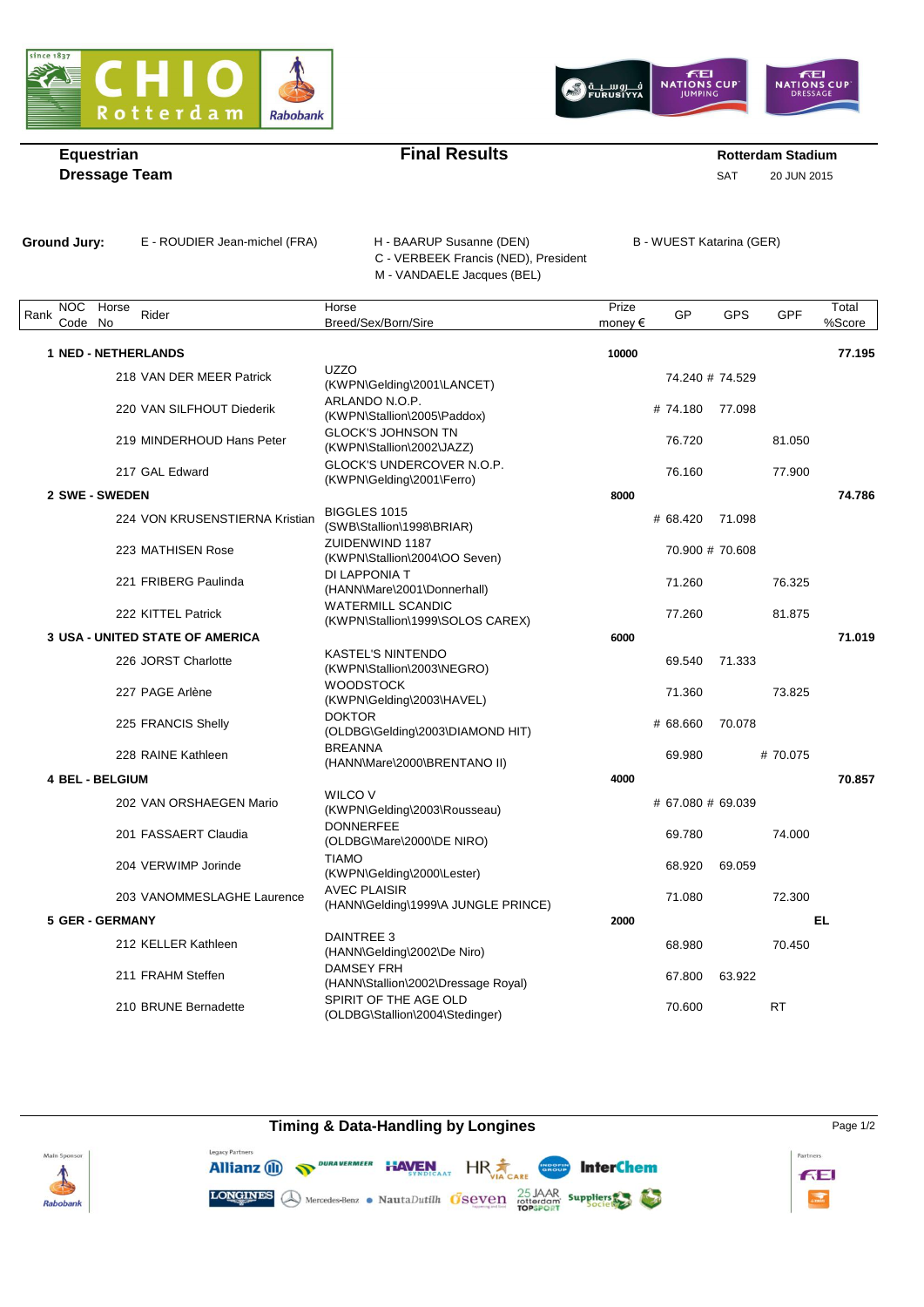



## **Equestrian Example 2 Rotterdam Stadium Final Results Rotterdam Stadium**

**Dressage Team** SAT 20 JUN 2015

Ground Jury: E - ROUDIER Jean-michel (FRA) H - BAARUP Susanne (DEN) B - WUEST Katarina (GER) C - VERBEEK Francis (NED), President M - VANDAELE Jacques (BEL)

| <b>NOC</b><br>Rank<br>Code | Horse<br>No            | Rider                                  | Horse<br>Breed/Sex/Born/Sire                                 | Prize<br>money $\epsilon$ | GP                | GPS             | GPF       | Total<br>%Score |
|----------------------------|------------------------|----------------------------------------|--------------------------------------------------------------|---------------------------|-------------------|-----------------|-----------|-----------------|
|                            |                        |                                        |                                                              |                           |                   |                 |           |                 |
|                            |                        | <b>1 NED - NETHERLANDS</b>             |                                                              | 10000                     |                   |                 |           | 77.195          |
|                            |                        | 218 VAN DER MEER Patrick               | <b>UZZO</b><br>(KWPN\Gelding\2001\LANCET)                    |                           | 74.240 # 74.529   |                 |           |                 |
|                            |                        | 220 VAN SILFHOUT Diederik              | ARLANDO N.O.P.<br>(KWPN\Stallion\2005\Paddox)                |                           | # 74.180 77.098   |                 |           |                 |
|                            |                        | 219 MINDERHOUD Hans Peter              | <b>GLOCK'S JOHNSON TN</b><br>(KWPN\Stallion\2002\JAZZ)       |                           | 76.720            |                 | 81.050    |                 |
|                            |                        | 217 GAL Edward                         | GLOCK'S UNDERCOVER N.O.P.<br>(KWPN\Gelding\2001\Ferro)       |                           | 76.160            |                 | 77.900    |                 |
| <b>2 SWE - SWEDEN</b>      |                        |                                        |                                                              | 8000                      |                   |                 |           | 74.786          |
|                            |                        | 224 VON KRUSENSTIERNA Kristian         | <b>BIGGLES 1015</b><br>(SWB\Stallion\1998\BRIAR)             |                           | # 68.420          | 71.098          |           |                 |
|                            |                        | 223 MATHISEN Rose                      | ZUIDENWIND 1187<br>(KWPN\Stallion\2004\OO Seven)             |                           |                   | 70.900 # 70.608 |           |                 |
|                            |                        | 221 FRIBERG Paulinda                   | DI LAPPONIA T<br>(HANN\Mare\2001\Donnerhall)                 |                           | 71.260            |                 | 76.325    |                 |
|                            |                        | 222 KITTEL Patrick                     | <b>WATERMILL SCANDIC</b><br>(KWPN\Stallion\1999\SOLOS CAREX) |                           | 77.260            |                 | 81.875    |                 |
|                            |                        | <b>3 USA - UNITED STATE OF AMERICA</b> |                                                              | 6000                      |                   |                 |           | 71.019          |
|                            |                        | 226 JORST Charlotte                    | <b>KASTEL'S NINTENDO</b><br>(KWPN\Stallion\2003\NEGRO)       |                           | 69.540            | 71.333          |           |                 |
|                            |                        | 227 PAGE Arlène                        | <b>WOODSTOCK</b><br>(KWPN\Gelding\2003\HAVEL)                |                           | 71.360            |                 | 73.825    |                 |
|                            |                        | 225 FRANCIS Shelly                     | <b>DOKTOR</b><br>(OLDBG\Gelding\2003\DIAMOND HIT)            |                           | # 68.660          | 70.078          |           |                 |
|                            |                        | 228 RAINE Kathleen                     | <b>BREANNA</b><br>(HANN\Mare\2000\BRENTANO II)               |                           | 69.980            |                 | #70.075   |                 |
|                            | <b>4 BEL - BELGIUM</b> |                                        |                                                              | 4000                      |                   |                 |           | 70.857          |
|                            |                        | 202 VAN ORSHAEGEN Mario                | <b>WILCO V</b><br>(KWPN\Gelding\2003\Rousseau)               |                           | # 67.080 # 69.039 |                 |           |                 |
|                            |                        | 201 FASSAERT Claudia                   | <b>DONNERFEE</b><br>(OLDBG\Mare\2000\DE NIRO)                |                           | 69.780            |                 | 74.000    |                 |
|                            |                        | 204 VERWIMP Jorinde                    | <b>TIAMO</b><br>(KWPN\Gelding\2000\Lester)                   |                           | 68.920            | 69.059          |           |                 |
|                            |                        | 203 VANOMMESLAGHE Laurence             | <b>AVEC PLAISIR</b><br>(HANN\Gelding\1999\A JUNGLE PRINCE)   |                           | 71.080            |                 | 72.300    |                 |
| <b>5 GER - GERMANY</b>     |                        |                                        |                                                              | 2000                      |                   |                 |           | EL              |
|                            |                        | 212 KELLER Kathleen                    | DAINTREE 3<br>(HANN\Gelding\2002\De Niro)                    |                           | 68.980            |                 | 70.450    |                 |
|                            |                        | 211 FRAHM Steffen                      | <b>DAMSEY FRH</b><br>(HANN\Stallion\2002\Dressage Royal)     |                           | 67.800            | 63.922          |           |                 |
|                            |                        | 210 BRUNE Bernadette                   | SPIRIT OF THE AGE OLD<br>(OLDBG\Stallion\2004\Stedinger)     |                           | 70.600            |                 | <b>RT</b> |                 |